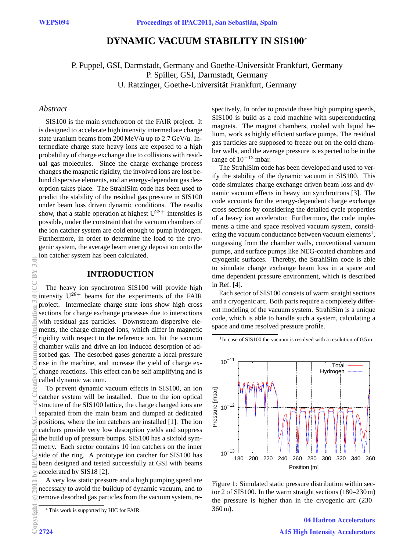# **DYNAMIC VACUUM STABILITY IN SIS100**<sup>∗</sup>

P. Puppel, GSI, Darmstadt, Germany and Goethe-Universität Frankfurt, Germany P. Spiller, GSI, Darmstadt, Germany U. Ratzinger, Goethe-Universität Frankfurt, Germany

## *Abstract*

SIS100 is the main synchrotron of the FAIR project. It is designed to accelerate high intensity intermediate charge state uranium beams from 200 MeV/u up to 2.7 GeV/u. Intermediate charge state heavy ions are exposed to a high probability of charge exchange due to collisions with residual gas molecules. Since the charge exchange process changes the magnetic rigidity, the involved ions are lost behind dispersive elements, and an energy-dependent gas desorption takes place. The StrahlSim code has been used to predict the stability of the residual gas pressure in SIS100 under beam loss driven dynamic conditions. The results show, that a stable operation at highest  $U^{28+}$  intensities is possible, under the constraint that the vacuum chambers of the ion catcher system are cold enough to pump hydrogen. Furthermore, in order to determine the load to the cryogenic system, the average beam energy deposition onto the ion catcher system has been calculated.

## **INTRODUCTION**

The heavy ion synchrotron SIS100 will provide high intensity  $U^{28+}$  beams for the experiments of the FAIR project. Intermediate charge state ions show high cross sections for charge exchange processes due to interactions with residual gas particles. Downstream dispersive elements, the charge changed ions, which differ in magnetic rigidity with respect to the reference ion, hit the vacuum chamber walls and drive an ion induced desorption of adsorbed gas. The desorbed gases generate a local pressure rise in the machine, and increase the yield of charge exchange reactions. This effect can be self amplifying and is called dynamic vacuum.

To prevent dynamic vacuum effects in SIS100, an ion catcher system will be installed. Due to the ion optical structure of the SIS100 lattice, the charge changed ions are separated from the main beam and dumped at dedicated positions, where the ion catchers are installed [1]. The ion catchers provide very low desorption yields and suppress the build up of pressure bumps. SIS100 has a sixfold symmetry. Each sector contains 10 ion catchers on the inner side of the ring. A prototype ion catcher for SIS100 has been designed and tested successfully at GSI with beams accelerated by SIS18 [2].

A very low static pressure and a high pumping speed are necessary to avoid the buildup of dynamic vacuum, and to remove desorbed gas particles from the vacuum system, respectively. In order to provide these high pumping speeds, SIS100 is build as a cold machine with superconducting magnets. The magnet chambers, cooled with liquid helium, work as highly efficient surface pumps. The residual gas particles are supposed to freeze out on the cold chamber walls, and the average pressure is expected to be in the range of  $10^{-12}$  mbar.

The StrahlSim code has been developed and used to verify the stability of the dynamic vacuum in SIS100. This code simulates charge exchange driven beam loss and dynamic vacuum effects in heavy ion synchrotrons [3]. The code accounts for the energy-dependent charge exchange cross sections by considering the detailed cycle properties of a heavy ion accelerator. Furthermore, the code implements a time and space resolved vacuum system, considering the vacuum conductance between vacuum elements $^1$ , outgassing from the chamber walls, conventional vacuum pumps, and surface pumps like NEG-coated chambers and cryogenic surfaces. Thereby, the StrahlSim code is able to simulate charge exchange beam loss in a space and time dependent pressure environment, which is described in Ref. [4].

Each sector of SIS100 consists of warm straight sections and a cryogenic arc. Both parts require a completely different modeling of the vacuum system. StrahlSim is a unique code, which is able to handle such a system, calculating a space and time resolved pressure profile.



<sup>1</sup>In case of SIS100 the vacuum is resolved with a resolution of 0.5 m.

Figure 1: Simulated static pressure distribution within sector 2 of SIS100. In the warm straight sections (180–230 m) the pressure is higher than in the cryogenic arc (230– 360 m).

> 04 Hadron Accelerators A15 High Intensity Accelerators

<sup>∗</sup> This work is supported by HIC for FAIR.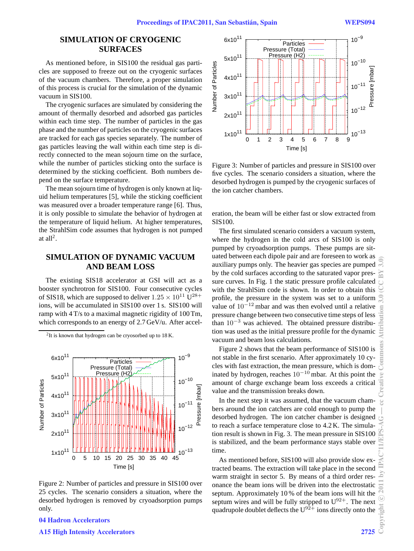## **SIMULATION OF CRYOGENIC SURFACES**

As mentioned before, in SIS100 the residual gas particles are supposed to freeze out on the cryogenic surfaces of the vacuum chambers. Therefore, a proper simulation of this process is crucial for the simulation of the dynamic vacuum in SIS100.

The cryogenic surfaces are simulated by considering the amount of thermally desorbed and adsorbed gas particles within each time step. The number of particles in the gas phase and the number of particles on the cryogenic surfaces are tracked for each gas species separately. The number of gas particles leaving the wall within each time step is directly connected to the mean sojourn time on the surface, while the number of particles sticking onto the surface is determined by the sticking coefficient. Both numbers depend on the surface temperature.

The mean sojourn time of hydrogen is only known at liquid helium temperatures [5], while the sticking coefficient was measured over a broader temperature range [6]. Thus, it is only possible to simulate the behavior of hydrogen at the temperature of liquid helium. At higher temperatures, the StrahlSim code assumes that hydrogen is not pumped at all<sup>2</sup>.

# **SIMULATION OF DYNAMIC VACUUM AND BEAM LOSS**

The existing SIS18 accelerator at GSI will act as a booster synchrotron for SIS100. Four consecutive cycles of SIS18, which are supposed to deliver  $1.25 \times 10^{11}$  U<sup>28+</sup> ions, will be accumulated in SIS100 over 1 s. SIS100 will ramp with 4 T/s to a maximal magnetic rigidity of 100 Tm, which corresponds to an energy of 2.7 GeV/u. After accel-

<sup>2</sup>It is known that hydrogen can be cryosorbed up to 18 K.



Figure 2: Number of particles and pressure in SIS100 over 25 cycles. The scenario considers a situation, where the desorbed hydrogen is removed by cryoadsorption pumps only.



A15 High Intensity Accelerators 2725



Figure 3: Number of particles and pressure in SIS100 over five cycles. The scenario considers a situation, where the desorbed hydrogen is pumped by the cryogenic surfaces of the ion catcher chambers.

eration, the beam will be either fast or slow extracted from SIS100.

The first simulated scenario considers a vacuum system, where the hydrogen in the cold arcs of SIS100 is only pumped by cryoadsorption pumps. These pumps are situated between each dipole pair and are foreseen to work as auxiliary pumps only. The heavier gas species are pumped by the cold surfaces according to the saturated vapor pressure curves. In Fig. 1 the static pressure profile calculated with the StrahlSim code is shown. In order to obtain this profile, the pressure in the system was set to a uniform value of  $10^{-12}$  mbar and was then evolved until a relative pressure change between two consecutive time steps of less than  $10^{-3}$  was achieved. The obtained pressure distribution was used as the initial pressure profile for the dynamic vacuum and beam loss calculations.

Figure 2 shows that the beam performance of SIS100 is not stable in the first scenario. After approximately 10 cycles with fast extraction, the mean pressure, which is dominated by hydrogen, reaches  $10^{-10}$  mbar. At this point the amount of charge exchange beam loss exceeds a critical value and the transmission breaks down.

In the next step it was assumed, that the vacuum chambers around the ion catchers are cold enough to pump the desorbed hydrogen. The ion catcher chamber is designed to reach a surface temperature close to 4.2 K. The simulation result is shown in Fig. 3. The mean pressure in SIS100 is stabilized, and the beam performance stays stable over time.

As mentioned before, SIS100 will also provide slow extracted beams. The extraction will take place in the second warm straight in sector 5. By means of a third order resonance the beam ions will be driven into the electrostatic septum. Approximately 10 % of the beam ions will hit the septum wires and will be fully stripped to  $U^{92+}$ . The next quadrupole doublet deflects the  $U^{92+}$  ions directly onto the